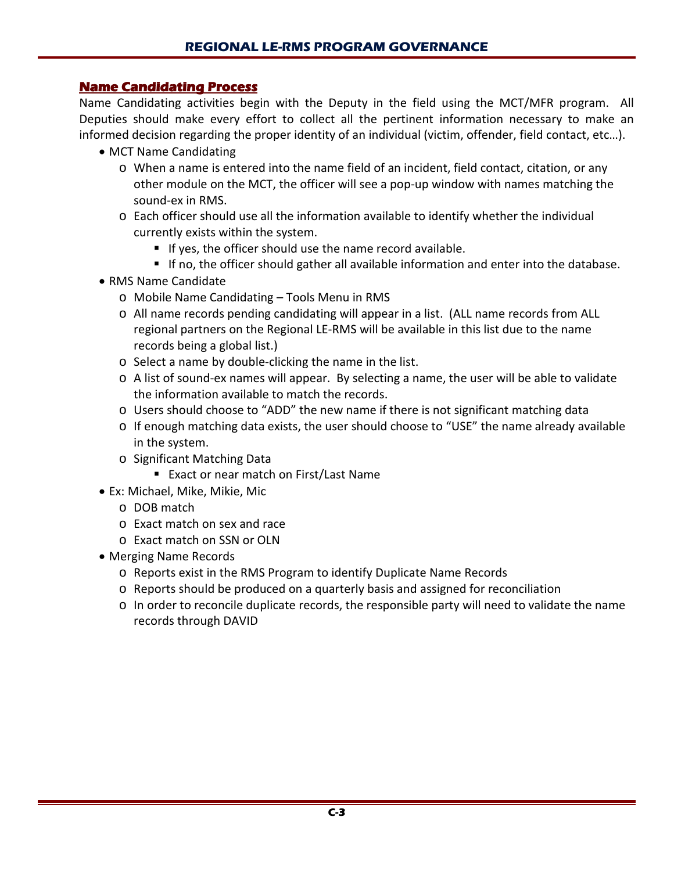## **Name Candidating Process**

Name Candidating activities begin with the Deputy in the field using the MCT/MFR program. All Deputies should make every effort to collect all the pertinent information necessary to make an informed decision regarding the proper identity of an individual (victim, offender, field contact, etc…).

- MCT Name Candidating
	- o When a name is entered into the name field of an incident, field contact, citation, or any other module on the MCT, the officer will see a pop-up window with names matching the sound-ex in RMS.
	- o Each officer should use all the information available to identify whether the individual currently exists within the system.
		- If yes, the officer should use the name record available.
		- If no, the officer should gather all available information and enter into the database.
- RMS Name Candidate
	- o Mobile Name Candidating Tools Menu in RMS
	- o All name records pending candidating will appear in a list. (ALL name records from ALL regional partners on the Regional LE-RMS will be available in this list due to the name records being a global list.)
	- o Select a name by double-clicking the name in the list.
	- o A list of sound-ex names will appear. By selecting a name, the user will be able to validate the information available to match the records.
	- o Users should choose to "ADD" the new name if there is not significant matching data
	- o If enough matching data exists, the user should choose to "USE" the name already available in the system.
	- o Significant Matching Data
		- Exact or near match on First/Last Name
- Ex: Michael, Mike, Mikie, Mic
	- o DOB match
	- o Exact match on sex and race
	- o Exact match on SSN or OLN
- Merging Name Records
	- o Reports exist in the RMS Program to identify Duplicate Name Records
	- o Reports should be produced on a quarterly basis and assigned for reconciliation
	- o In order to reconcile duplicate records, the responsible party will need to validate the name records through DAVID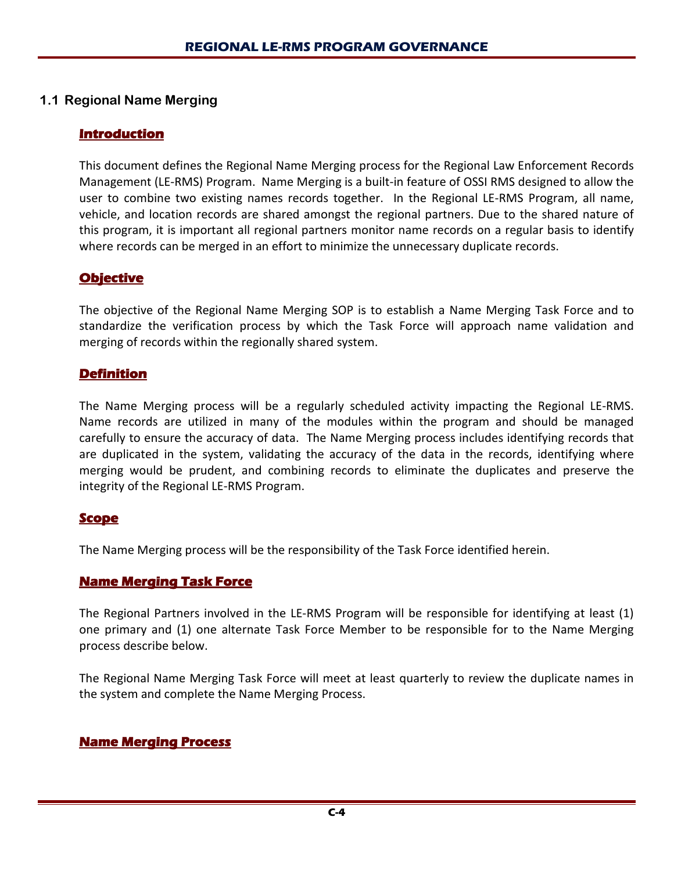## **1.1 Regional Name Merging**

## **Introduction**

This document defines the Regional Name Merging process for the Regional Law Enforcement Records Management (LE-RMS) Program. Name Merging is a built-in feature of OSSI RMS designed to allow the user to combine two existing names records together. In the Regional LE-RMS Program, all name, vehicle, and location records are shared amongst the regional partners. Due to the shared nature of this program, it is important all regional partners monitor name records on a regular basis to identify where records can be merged in an effort to minimize the unnecessary duplicate records.

## **Objective**

The objective of the Regional Name Merging SOP is to establish a Name Merging Task Force and to standardize the verification process by which the Task Force will approach name validation and merging of records within the regionally shared system.

## **Definition**

The Name Merging process will be a regularly scheduled activity impacting the Regional LE-RMS. Name records are utilized in many of the modules within the program and should be managed carefully to ensure the accuracy of data. The Name Merging process includes identifying records that are duplicated in the system, validating the accuracy of the data in the records, identifying where merging would be prudent, and combining records to eliminate the duplicates and preserve the integrity of the Regional LE-RMS Program.

## **Scope**

The Name Merging process will be the responsibility of the Task Force identified herein.

## **Name Merging Task Force**

The Regional Partners involved in the LE-RMS Program will be responsible for identifying at least (1) one primary and (1) one alternate Task Force Member to be responsible for to the Name Merging process describe below.

The Regional Name Merging Task Force will meet at least quarterly to review the duplicate names in the system and complete the Name Merging Process.

# **Name Merging Process**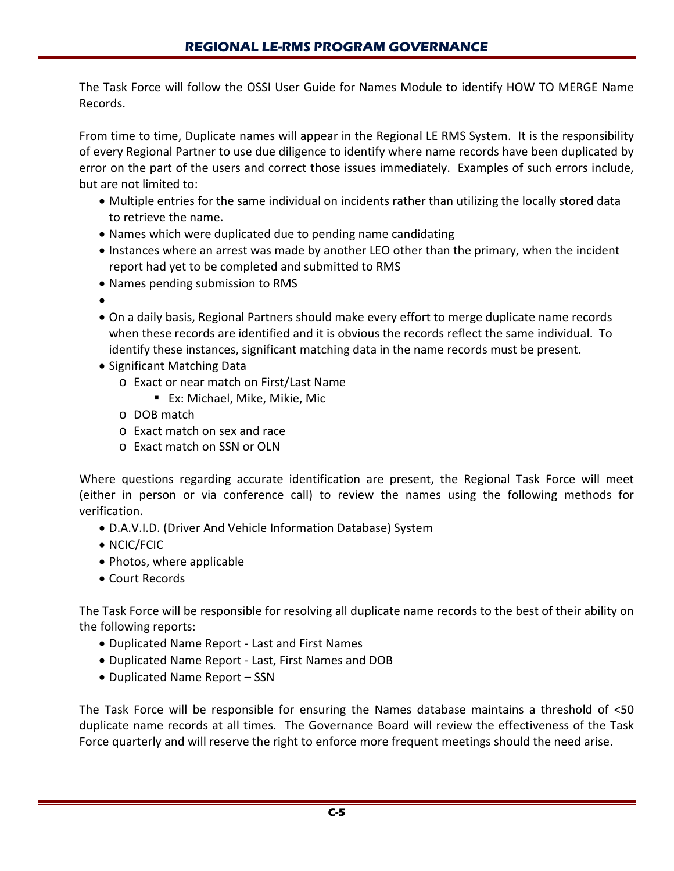The Task Force will follow the OSSI User Guide for Names Module to identify HOW TO MERGE Name Records.

From time to time, Duplicate names will appear in the Regional LE RMS System. It is the responsibility of every Regional Partner to use due diligence to identify where name records have been duplicated by error on the part of the users and correct those issues immediately. Examples of such errors include, but are not limited to:

- Multiple entries for the same individual on incidents rather than utilizing the locally stored data to retrieve the name.
- Names which were duplicated due to pending name candidating
- Instances where an arrest was made by another LEO other than the primary, when the incident report had yet to be completed and submitted to RMS
- Names pending submission to RMS
- •
- On a daily basis, Regional Partners should make every effort to merge duplicate name records when these records are identified and it is obvious the records reflect the same individual. To identify these instances, significant matching data in the name records must be present.
- Significant Matching Data
	- o Exact or near match on First/Last Name
		- Ex: Michael, Mike, Mikie, Mic
	- o DOB match
	- o Exact match on sex and race
	- o Exact match on SSN or OLN

Where questions regarding accurate identification are present, the Regional Task Force will meet (either in person or via conference call) to review the names using the following methods for verification.

- D.A.V.I.D. (Driver And Vehicle Information Database) System
- NCIC/FCIC
- Photos, where applicable
- Court Records

The Task Force will be responsible for resolving all duplicate name records to the best of their ability on the following reports:

- Duplicated Name Report Last and First Names
- Duplicated Name Report Last, First Names and DOB
- Duplicated Name Report SSN

The Task Force will be responsible for ensuring the Names database maintains a threshold of <50 duplicate name records at all times. The Governance Board will review the effectiveness of the Task Force quarterly and will reserve the right to enforce more frequent meetings should the need arise.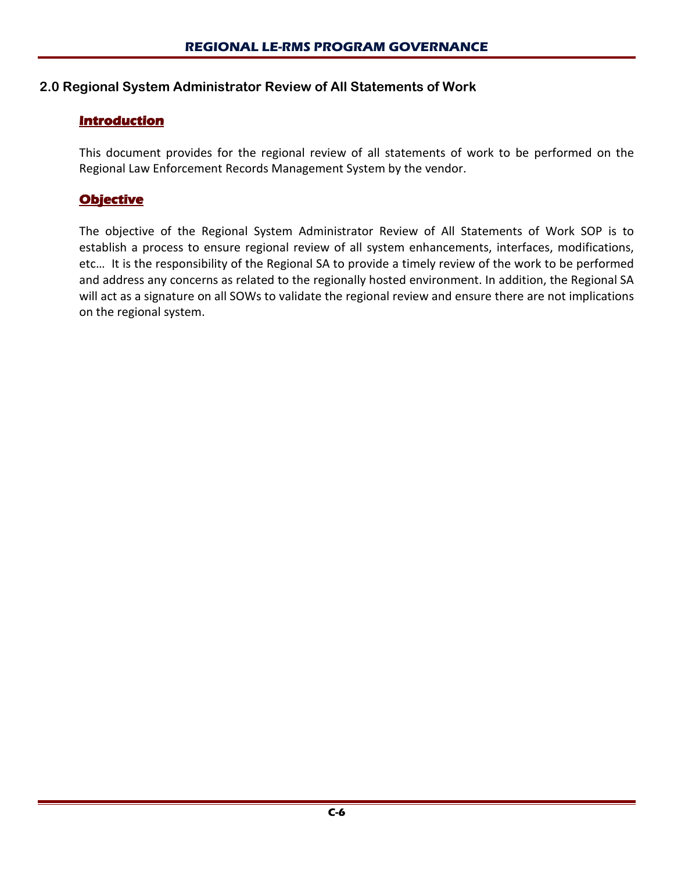## **2.0 Regional System Administrator Review of All Statements of Work**

## **Introduction**

This document provides for the regional review of all statements of work to be performed on the Regional Law Enforcement Records Management System by the vendor.

## **Objective**

The objective of the Regional System Administrator Review of All Statements of Work SOP is to establish a process to ensure regional review of all system enhancements, interfaces, modifications, etc… It is the responsibility of the Regional SA to provide a timely review of the work to be performed and address any concerns as related to the regionally hosted environment. In addition, the Regional SA will act as a signature on all SOWs to validate the regional review and ensure there are not implications on the regional system.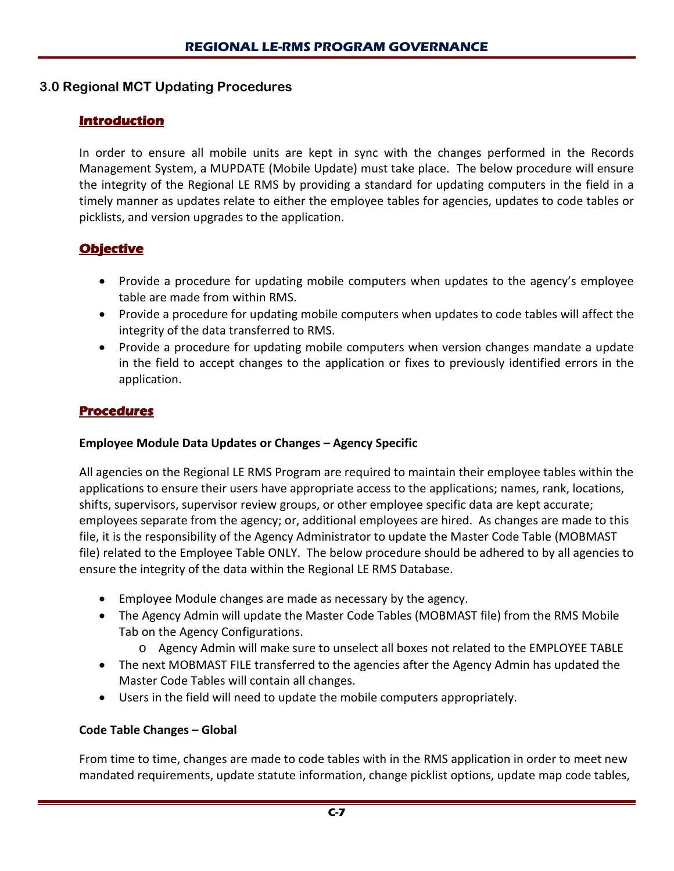## **3.0 Regional MCT Updating Procedures**

## **Introduction**

In order to ensure all mobile units are kept in sync with the changes performed in the Records Management System, a MUPDATE (Mobile Update) must take place. The below procedure will ensure the integrity of the Regional LE RMS by providing a standard for updating computers in the field in a timely manner as updates relate to either the employee tables for agencies, updates to code tables or picklists, and version upgrades to the application.

## **Objective**

- Provide a procedure for updating mobile computers when updates to the agency's employee table are made from within RMS.
- Provide a procedure for updating mobile computers when updates to code tables will affect the integrity of the data transferred to RMS.
- Provide a procedure for updating mobile computers when version changes mandate a update in the field to accept changes to the application or fixes to previously identified errors in the application.

## **Procedures**

## **Employee Module Data Updates or Changes – Agency Specific**

All agencies on the Regional LE RMS Program are required to maintain their employee tables within the applications to ensure their users have appropriate access to the applications; names, rank, locations, shifts, supervisors, supervisor review groups, or other employee specific data are kept accurate; employees separate from the agency; or, additional employees are hired. As changes are made to this file, it is the responsibility of the Agency Administrator to update the Master Code Table (MOBMAST file) related to the Employee Table ONLY. The below procedure should be adhered to by all agencies to ensure the integrity of the data within the Regional LE RMS Database.

- Employee Module changes are made as necessary by the agency.
- The Agency Admin will update the Master Code Tables (MOBMAST file) from the RMS Mobile Tab on the Agency Configurations.
	- o Agency Admin will make sure to unselect all boxes not related to the EMPLOYEE TABLE
- The next MOBMAST FILE transferred to the agencies after the Agency Admin has updated the Master Code Tables will contain all changes.
- Users in the field will need to update the mobile computers appropriately.

## **Code Table Changes – Global**

From time to time, changes are made to code tables with in the RMS application in order to meet new mandated requirements, update statute information, change picklist options, update map code tables,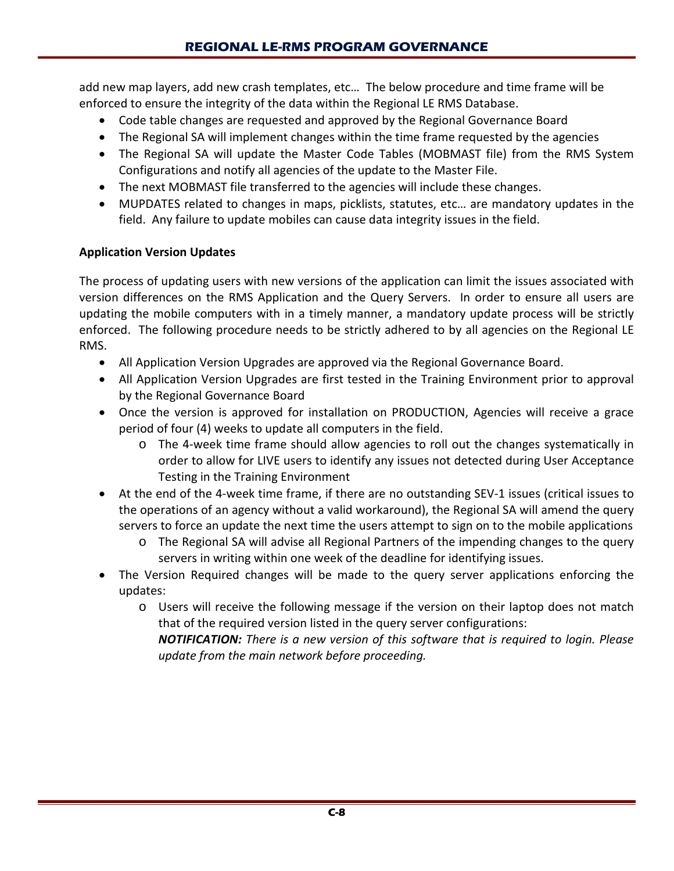add new map layers, add new crash templates, etc… The below procedure and time frame will be enforced to ensure the integrity of the data within the Regional LE RMS Database.

- Code table changes are requested and approved by the Regional Governance Board
- The Regional SA will implement changes within the time frame requested by the agencies
- The Regional SA will update the Master Code Tables (MOBMAST file) from the RMS System Configurations and notify all agencies of the update to the Master File.
- The next MOBMAST file transferred to the agencies will include these changes.
- MUPDATES related to changes in maps, picklists, statutes, etc… are mandatory updates in the field. Any failure to update mobiles can cause data integrity issues in the field.

## **Application Version Updates**

The process of updating users with new versions of the application can limit the issues associated with version differences on the RMS Application and the Query Servers. In order to ensure all users are updating the mobile computers with in a timely manner, a mandatory update process will be strictly enforced. The following procedure needs to be strictly adhered to by all agencies on the Regional LE RMS.

- All Application Version Upgrades are approved via the Regional Governance Board.
- All Application Version Upgrades are first tested in the Training Environment prior to approval by the Regional Governance Board
- Once the version is approved for installation on PRODUCTION, Agencies will receive a grace period of four (4) weeks to update all computers in the field.
	- o The 4-week time frame should allow agencies to roll out the changes systematically in order to allow for LIVE users to identify any issues not detected during User Acceptance Testing in the Training Environment
- At the end of the 4-week time frame, if there are no outstanding SEV-1 issues (critical issues to the operations of an agency without a valid workaround), the Regional SA will amend the query servers to force an update the next time the users attempt to sign on to the mobile applications
	- o The Regional SA will advise all Regional Partners of the impending changes to the query servers in writing within one week of the deadline for identifying issues.
- The Version Required changes will be made to the query server applications enforcing the updates:
	- o Users will receive the following message if the version on their laptop does not match that of the required version listed in the query server configurations:

*NOTIFICATION: There is a new version of this software that is required to login. Please update from the main network before proceeding.*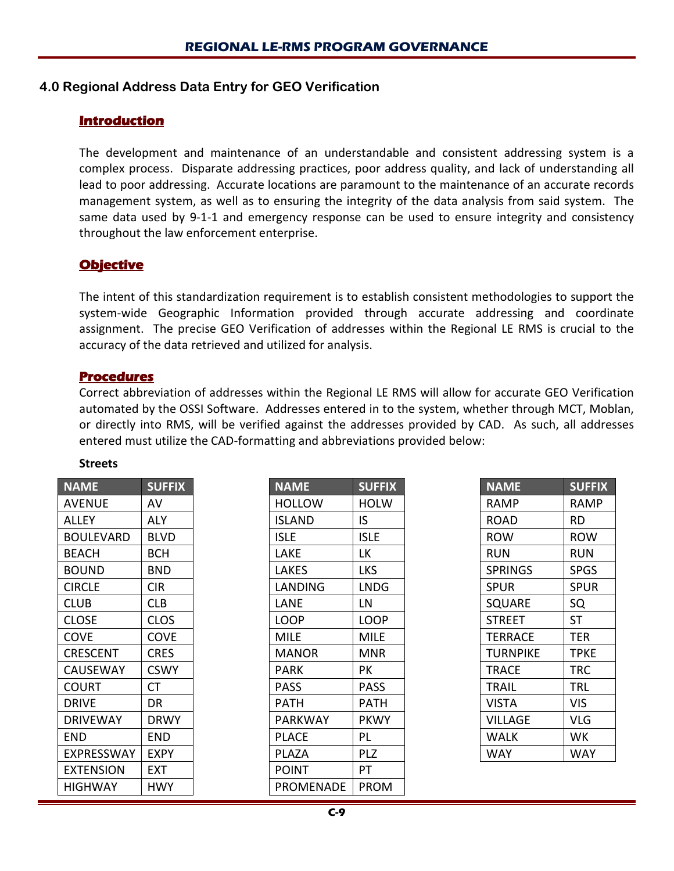## **4.0 Regional Address Data Entry for GEO Verification**

## **Introduction**

The development and maintenance of an understandable and consistent addressing system is a complex process. Disparate addressing practices, poor address quality, and lack of understanding all lead to poor addressing. Accurate locations are paramount to the maintenance of an accurate records management system, as well as to ensuring the integrity of the data analysis from said system. The same data used by 9-1-1 and emergency response can be used to ensure integrity and consistency throughout the law enforcement enterprise.

## **Objective**

The intent of this standardization requirement is to establish consistent methodologies to support the system-wide Geographic Information provided through accurate addressing and coordinate assignment. The precise GEO Verification of addresses within the Regional LE RMS is crucial to the accuracy of the data retrieved and utilized for analysis.

#### **Procedures**

Correct abbreviation of addresses within the Regional LE RMS will allow for accurate GEO Verification automated by the OSSI Software. Addresses entered in to the system, whether through MCT, Moblan, or directly into RMS, will be verified against the addresses provided by CAD. As such, all addresses entered must utilize the CAD-formatting and abbreviations provided below:

#### **Streets**

| <b>NAME</b>     | <b>SUFFIX</b> |
|-----------------|---------------|
| AVENUE          | AV            |
| ALLEY           | ALY           |
| BOULEVARD       | BLVD          |
| <b>BEACH</b>    | BCH           |
| BOUND           | BND           |
| <b>CIRCLE</b>   | <b>CIR</b>    |
| CLUB            | <b>CLB</b>    |
| <b>CLOSE</b>    | CLOS          |
| COVE            | <b>COVE</b>   |
| <b>CRESCENT</b> | <b>CRES</b>   |
| <b>CAUSEWAY</b> | <b>CSWY</b>   |
| COURT           | <b>CT</b>     |
| DRIVE           | DR            |
| <b>DRIVEWAY</b> | DRWY          |
| END             | END           |
| EXPRESSWAY      | EXPY          |
| EXTENSION       | FXT           |
| <b>HIGHWAY</b>  | HWY           |

| <b>NAME</b>   | <b>SUFFIX</b> |
|---------------|---------------|
| HOLLOW        | HOLW          |
| <b>ISLAND</b> | IS            |
| <b>ISLE</b>   | ISLE          |
| LAKE          | LK            |
| LAKES         | LKS           |
| LANDING       | LNDG          |
| LANE          | LN            |
| LOOP          | LOOP          |
| MILE          | MILE          |
| MANOR         | MNR           |
| PARK          | PК            |
| PASS          | PASS          |
| PATH          | PATH          |
| PARKWAY       | <b>PKWY</b>   |
| <b>PLACE</b>  | PL            |
| PI A7A        | PLZ           |
| POINT         | PT            |
| PROMENADE     | PROM          |

| <b>NAME</b>    | <b>SUFFIX</b> |
|----------------|---------------|
| RAMP           | RAMP          |
| ROAD           | RD            |
| row            | row           |
| RUN            | RUN           |
| <b>SPRINGS</b> | SPGS          |
| SPUR           | SPUR          |
| <b>SQUARE</b>  | SQ            |
| STREET         | ST            |
| <b>TERRACE</b> | <b>TER</b>    |
| TURNPIKE       | <b>TPKE</b>   |
| TRACE          | TRC           |
| TRAIL          | TRL           |
| VISTA          | VIS           |
| <b>VILLAGE</b> | VLG           |
| WALK           | wк            |
| WAY            | WAY           |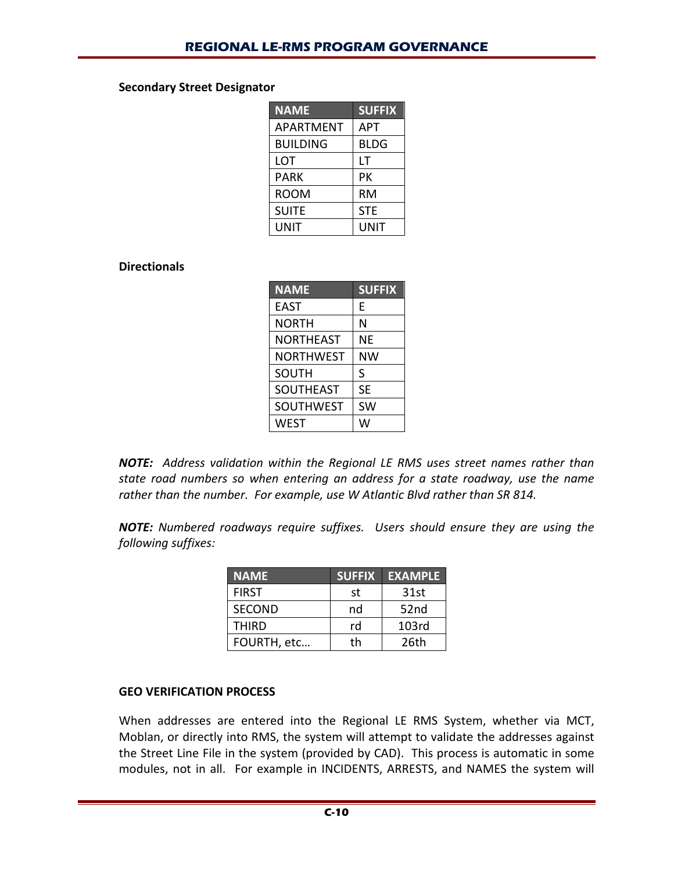#### **Secondary Street Designator**

| <b>NAME</b>     | <b>SUFFIX</b> |
|-----------------|---------------|
| APARTMENT       | <b>APT</b>    |
| <b>BUILDING</b> | <b>BLDG</b>   |
| LOT             | LΤ            |
| PARK            | PК            |
| room            | RM            |
| <b>SUITE</b>    | <b>STE</b>    |
| UNIT            | UNIT          |

## **Directionals**

| <b>NAME</b>      | <b>SUFFIX</b> |
|------------------|---------------|
| <b>EAST</b>      | E             |
| NORTH            | Ν             |
| NORTHEAST        | ΝE            |
| NORTHWEST        | ΝW            |
| <b>SOUTH</b>     | S             |
| <b>SOUTHEAST</b> | <b>SE</b>     |
| <b>SOUTHWEST</b> | SW            |
| WEST             | W             |

*NOTE: Address validation within the Regional LE RMS uses street names rather than state road numbers so when entering an address for a state roadway, use the name rather than the number. For example, use W Atlantic Blvd rather than SR 814.*

*NOTE: Numbered roadways require suffixes. Users should ensure they are using the following suffixes:*

| <b>NAME</b>   | <b>SUFFIX</b> | <b>EXAMPLE</b>   |
|---------------|---------------|------------------|
| <b>FIRST</b>  | st            | 31st             |
| <b>SECOND</b> | nd            | 52 <sub>nd</sub> |
| <b>THIRD</b>  | rd            | 103rd            |
| FOURTH, etc   | th            | 26th             |

#### **GEO VERIFICATION PROCESS**

When addresses are entered into the Regional LE RMS System, whether via MCT, Moblan, or directly into RMS, the system will attempt to validate the addresses against the Street Line File in the system (provided by CAD). This process is automatic in some modules, not in all. For example in INCIDENTS, ARRESTS, and NAMES the system will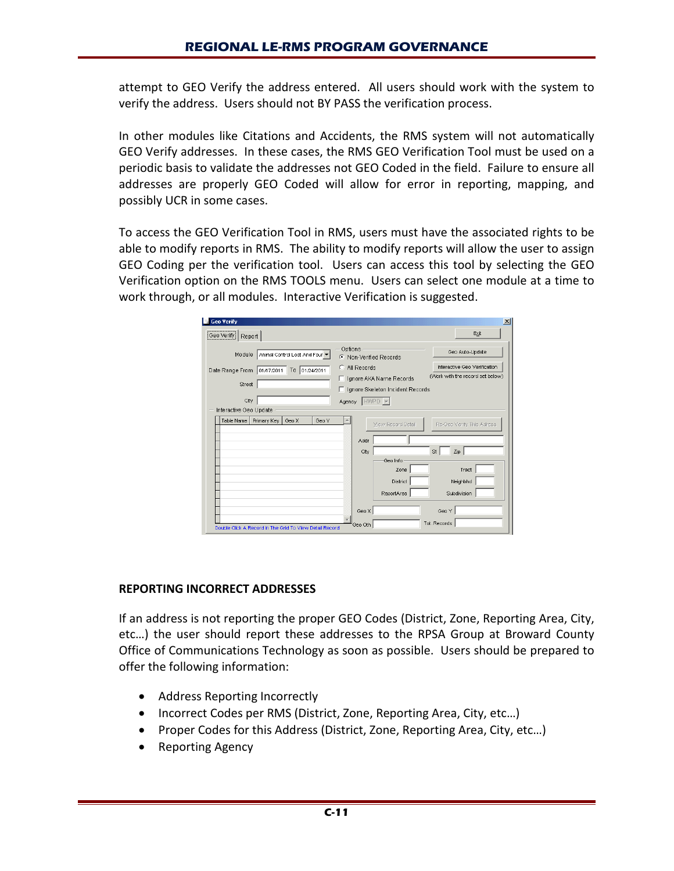attempt to GEO Verify the address entered. All users should work with the system to verify the address. Users should not BY PASS the verification process.

In other modules like Citations and Accidents, the RMS system will not automatically GEO Verify addresses. In these cases, the RMS GEO Verification Tool must be used on a periodic basis to validate the addresses not GEO Coded in the field. Failure to ensure all addresses are properly GEO Coded will allow for error in reporting, mapping, and possibly UCR in some cases.

To access the GEO Verification Tool in RMS, users must have the associated rights to be able to modify reports in RMS. The ability to modify reports will allow the user to assign GEO Coding per the verification tool. Users can access this tool by selecting the GEO Verification option on the RMS TOOLS menu. Users can select one module at a time to work through, or all modules. Interactive Verification is suggested.

| <b>Geo Verify</b>                                       |                                                                                                                    | $\vert x \vert$ |
|---------------------------------------------------------|--------------------------------------------------------------------------------------------------------------------|-----------------|
| Geo Verify<br>Report                                    | Exit                                                                                                               |                 |
| Animal Control Lost And Four<br>Module                  | Options<br>Geo Auto-Update<br>C Non-Verified Records                                                               |                 |
| Date Range From 01/17/2011 To 01/24/2011<br>Street      | Interactive Geo Verification<br>C All Records<br>(Work with the record set below)<br>Ignore AKA Name Records<br>п. |                 |
| City                                                    | □ Ignore Skeleton Incident Records<br>Agency HWPD -                                                                |                 |
| Interactive Geo Update                                  |                                                                                                                    |                 |
| Table Name<br>Primary Key<br>Geo X<br>Geo Y             | View Record Detail<br>Re-Geo Verify This Adress                                                                    |                 |
|                                                         | Addr                                                                                                               |                 |
|                                                         | St<br>Zip<br>City<br>Geo Info                                                                                      |                 |
|                                                         | Tract<br>Zone                                                                                                      |                 |
|                                                         | District<br>Neighbhd                                                                                               |                 |
|                                                         | ReportArea<br>Subdivision                                                                                          |                 |
|                                                         | Geo Y<br>Geo X                                                                                                     |                 |
| Double Click A Record In The Grid To View Detail Record | Tot. Records<br>Geo Oth                                                                                            |                 |

#### **REPORTING INCORRECT ADDRESSES**

If an address is not reporting the proper GEO Codes (District, Zone, Reporting Area, City, etc…) the user should report these addresses to the RPSA Group at Broward County Office of Communications Technology as soon as possible. Users should be prepared to offer the following information:

- Address Reporting Incorrectly
- Incorrect Codes per RMS (District, Zone, Reporting Area, City, etc…)
- Proper Codes for this Address (District, Zone, Reporting Area, City, etc...)
- Reporting Agency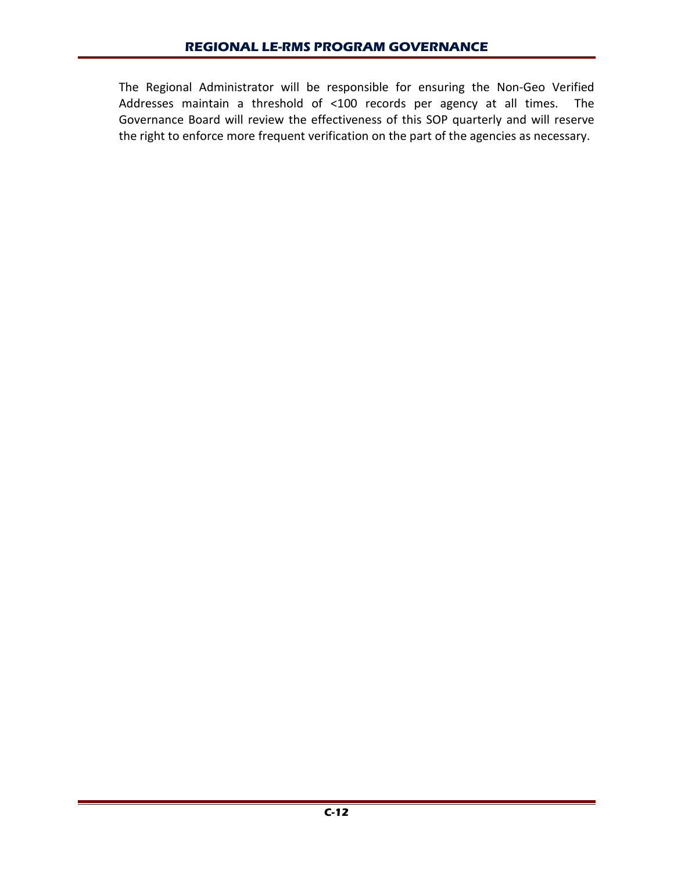The Regional Administrator will be responsible for ensuring the Non-Geo Verified Addresses maintain a threshold of <100 records per agency at all times. The Governance Board will review the effectiveness of this SOP quarterly and will reserve the right to enforce more frequent verification on the part of the agencies as necessary.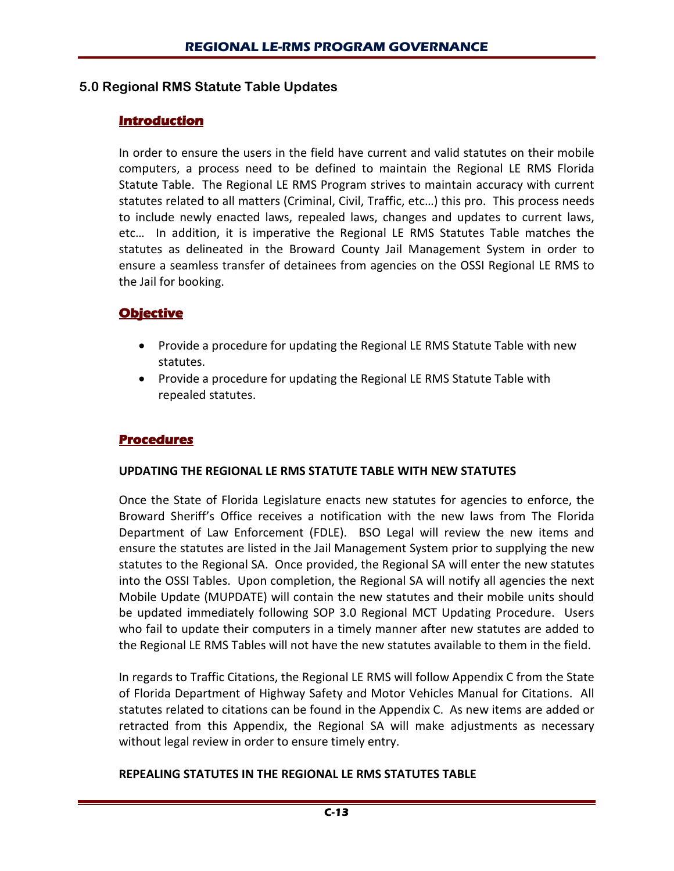## **5.0 Regional RMS Statute Table Updates**

#### **Introduction**

In order to ensure the users in the field have current and valid statutes on their mobile computers, a process need to be defined to maintain the Regional LE RMS Florida Statute Table. The Regional LE RMS Program strives to maintain accuracy with current statutes related to all matters (Criminal, Civil, Traffic, etc…) this pro. This process needs to include newly enacted laws, repealed laws, changes and updates to current laws, etc… In addition, it is imperative the Regional LE RMS Statutes Table matches the statutes as delineated in the Broward County Jail Management System in order to ensure a seamless transfer of detainees from agencies on the OSSI Regional LE RMS to the Jail for booking.

## **Objective**

- Provide a procedure for updating the Regional LE RMS Statute Table with new statutes.
- Provide a procedure for updating the Regional LE RMS Statute Table with repealed statutes.

#### **Procedures**

#### **UPDATING THE REGIONAL LE RMS STATUTE TABLE WITH NEW STATUTES**

Once the State of Florida Legislature enacts new statutes for agencies to enforce, the Broward Sheriff's Office receives a notification with the new laws from The Florida Department of Law Enforcement (FDLE). BSO Legal will review the new items and ensure the statutes are listed in the Jail Management System prior to supplying the new statutes to the Regional SA. Once provided, the Regional SA will enter the new statutes into the OSSI Tables. Upon completion, the Regional SA will notify all agencies the next Mobile Update (MUPDATE) will contain the new statutes and their mobile units should be updated immediately following SOP 3.0 Regional MCT Updating Procedure. Users who fail to update their computers in a timely manner after new statutes are added to the Regional LE RMS Tables will not have the new statutes available to them in the field.

In regards to Traffic Citations, the Regional LE RMS will follow Appendix C from the State of Florida Department of Highway Safety and Motor Vehicles Manual for Citations. All statutes related to citations can be found in the Appendix C. As new items are added or retracted from this Appendix, the Regional SA will make adjustments as necessary without legal review in order to ensure timely entry.

#### **REPEALING STATUTES IN THE REGIONAL LE RMS STATUTES TABLE**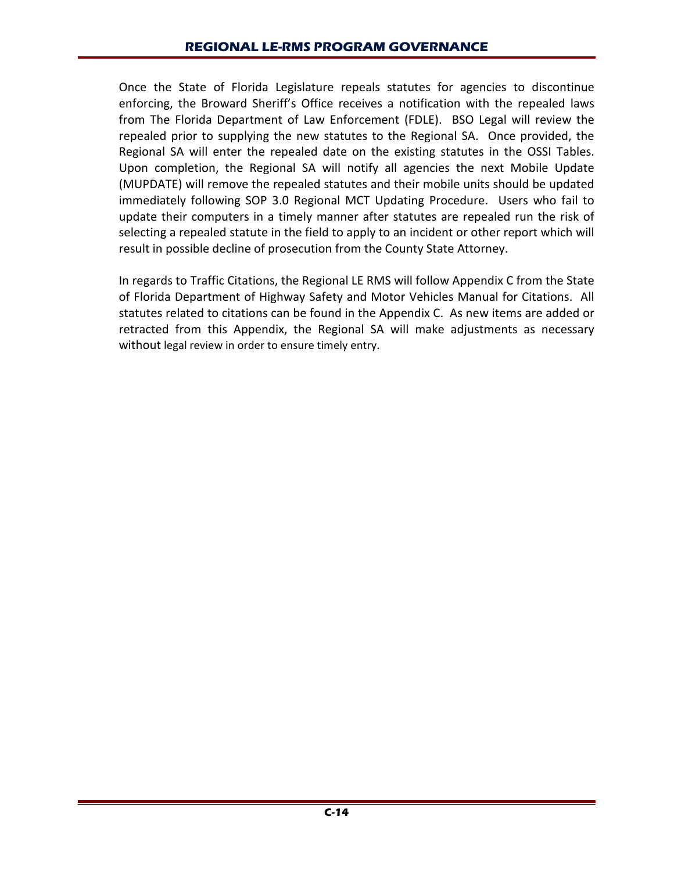Once the State of Florida Legislature repeals statutes for agencies to discontinue enforcing, the Broward Sheriff's Office receives a notification with the repealed laws from The Florida Department of Law Enforcement (FDLE). BSO Legal will review the repealed prior to supplying the new statutes to the Regional SA. Once provided, the Regional SA will enter the repealed date on the existing statutes in the OSSI Tables. Upon completion, the Regional SA will notify all agencies the next Mobile Update (MUPDATE) will remove the repealed statutes and their mobile units should be updated immediately following SOP 3.0 Regional MCT Updating Procedure. Users who fail to update their computers in a timely manner after statutes are repealed run the risk of selecting a repealed statute in the field to apply to an incident or other report which will result in possible decline of prosecution from the County State Attorney.

In regards to Traffic Citations, the Regional LE RMS will follow Appendix C from the State of Florida Department of Highway Safety and Motor Vehicles Manual for Citations. All statutes related to citations can be found in the Appendix C. As new items are added or retracted from this Appendix, the Regional SA will make adjustments as necessary without legal review in order to ensure timely entry.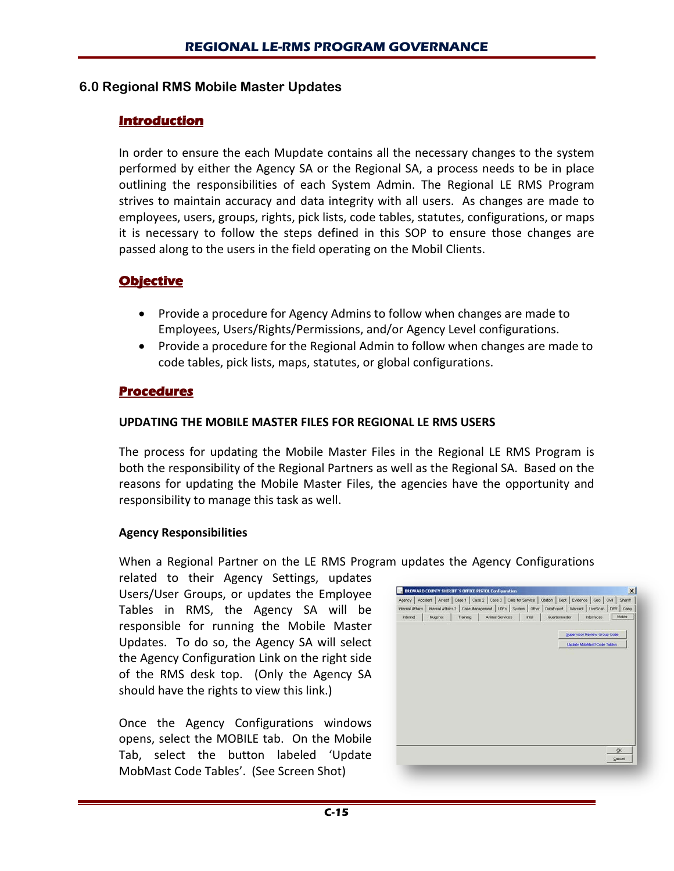#### **6.0 Regional RMS Mobile Master Updates**

#### **Introduction**

In order to ensure the each Mupdate contains all the necessary changes to the system performed by either the Agency SA or the Regional SA, a process needs to be in place outlining the responsibilities of each System Admin. The Regional LE RMS Program strives to maintain accuracy and data integrity with all users. As changes are made to employees, users, groups, rights, pick lists, code tables, statutes, configurations, or maps it is necessary to follow the steps defined in this SOP to ensure those changes are passed along to the users in the field operating on the Mobil Clients.

#### **Objective**

- Provide a procedure for Agency Admins to follow when changes are made to Employees, Users/Rights/Permissions, and/or Agency Level configurations.
- Provide a procedure for the Regional Admin to follow when changes are made to code tables, pick lists, maps, statutes, or global configurations.

#### **Procedures**

#### **UPDATING THE MOBILE MASTER FILES FOR REGIONAL LE RMS USERS**

The process for updating the Mobile Master Files in the Regional LE RMS Program is both the responsibility of the Regional Partners as well as the Regional SA. Based on the reasons for updating the Mobile Master Files, the agencies have the opportunity and responsibility to manage this task as well.

#### **Agency Responsibilities**

When a Regional Partner on the LE RMS Program updates the Agency Configurations

related to their Agency Settings, updates Users/User Groups, or updates the Employee Tables in RMS, the Agency SA will be responsible for running the Mobile Master Updates. To do so, the Agency SA will select the Agency Configuration Link on the right side of the RMS desk top. (Only the Agency SA should have the rights to view this link.)

Once the Agency Configurations windows opens, select the MOBILE tab. On the Mobile Tab, select the button labeled 'Update MobMast Code Tables'. (See Screen Shot)

|                               |         |          |                 |       |               | Agency Accident Arrest Case 1 Case 2 Case 3 Calls for Service Claston Dept Evidence Geo Owl          | Sheriff |
|-------------------------------|---------|----------|-----------------|-------|---------------|------------------------------------------------------------------------------------------------------|---------|
| <b>Internel Affairs</b>       |         |          |                 |       |               | Internal Affairs 2   Case Management   UDFs   System   Other   DataExport   Warrant   LiveScan   DRR | Gang    |
| <i><u><b>Internet</b></u></i> | Mugshot | Training | Animal Services | Intel | Quartermaster | Interfaces                                                                                           | Mobile  |
|                               |         |          |                 |       |               | Supervisor Review Group Code:                                                                        |         |
|                               |         |          |                 |       |               | <b>Update MobMast\ Code Tables</b>                                                                   |         |
|                               |         |          |                 |       |               |                                                                                                      |         |
|                               |         |          |                 |       |               |                                                                                                      |         |
|                               |         |          |                 |       |               |                                                                                                      |         |
|                               |         |          |                 |       |               |                                                                                                      |         |
|                               |         |          |                 |       |               |                                                                                                      |         |
|                               |         |          |                 |       |               |                                                                                                      |         |
|                               |         |          |                 |       |               |                                                                                                      |         |
|                               |         |          |                 |       |               |                                                                                                      |         |
|                               |         |          |                 |       |               |                                                                                                      |         |
|                               |         |          |                 |       |               |                                                                                                      |         |
|                               |         |          |                 |       |               |                                                                                                      | QK.     |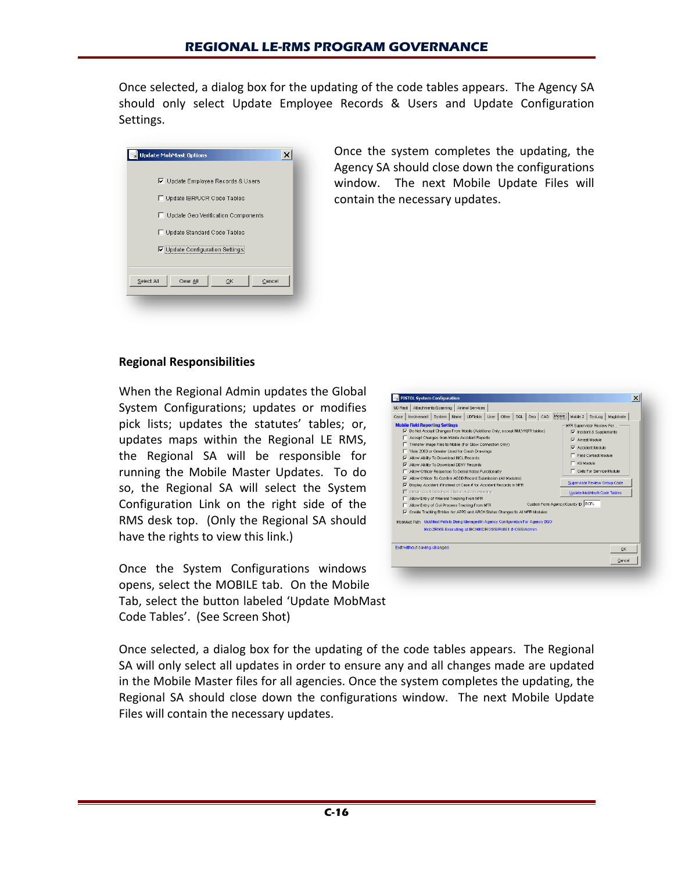Once selected, a dialog box for the updating of the code tables appears. The Agency SA should only select Update Employee Records & Users and Update Configuration Settings.

| Update MobMast Options                   |
|------------------------------------------|
|                                          |
| <b>▽</b> Update Employee Records & Users |
| □ Update IBR/UCR Code Tables             |
| □ Update Geo Verification Components     |
| □ Update Standard Code Tables            |
| Ⅳ Update Configuration Settings          |
|                                          |
| Select All<br>Clear All<br>Cancel<br>OK  |
|                                          |

Once the system completes the updating, the Agency SA should close down the configurations window. The next Mobile Update Files will contain the necessary updates.

#### **Regional Responsibilities**

When the Regional Admin updates the Global System Configurations; updates or modifies pick lists; updates the statutes' tables; or, updates maps within the Regional LE RMS, the Regional SA will be responsible for running the Mobile Master Updates. To do so, the Regional SA will select the System Configuration Link on the right side of the RMS desk top. (Only the Regional SA should have the rights to view this link.)

Once the System Configurations windows opens, select the MOBILE tab. On the Mobile Tab, select the button labeled 'Update MobMast Code Tables'. (See Screen Shot)



Once selected, a dialog box for the updating of the code tables appears. The Regional SA will only select all updates in order to ensure any and all changes made are updated in the Mobile Master files for all agencies. Once the system completes the updating, the Regional SA should close down the configurations window. The next Mobile Update Files will contain the necessary updates.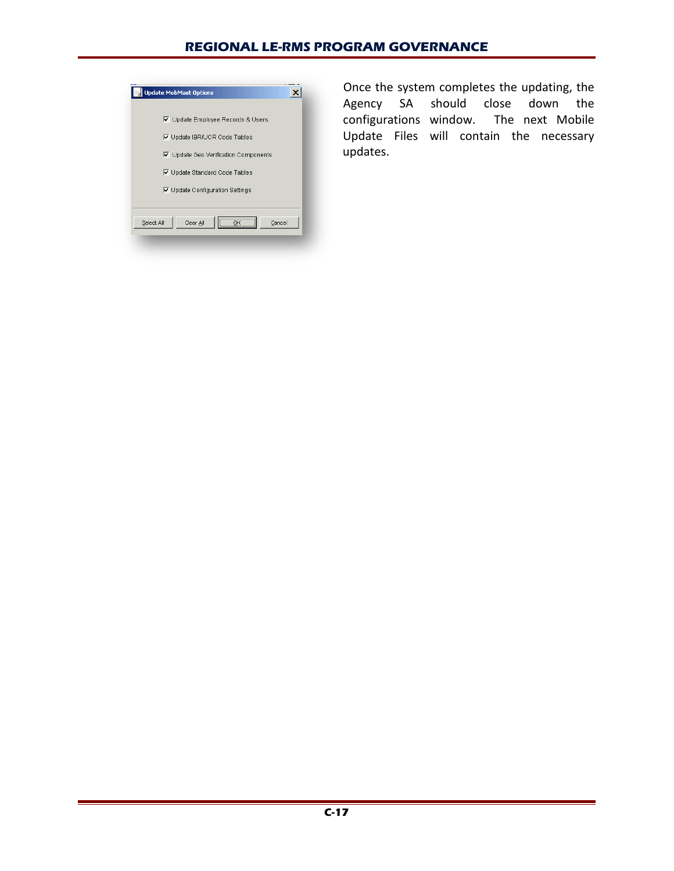#### **REGIONAL LE-RMS PROGRAM GOVERNANCE**

| <b>Update MobMast Options</b>         |
|---------------------------------------|
| V Update Employee Records & Users     |
| <b>▽</b> Update IBR/UCR Code Tables   |
| ☑ Update Geo Verification Components  |
| Ⅳ Update Standard Code Tables         |
| ☑ Update Configuration Settings       |
|                                       |
| <br>Clear All<br>Select All<br>Cancel |
|                                       |

Once the system completes the updating, the Agency SA should close down the configurations window. The next Mobile Update Files will contain the necessary updates.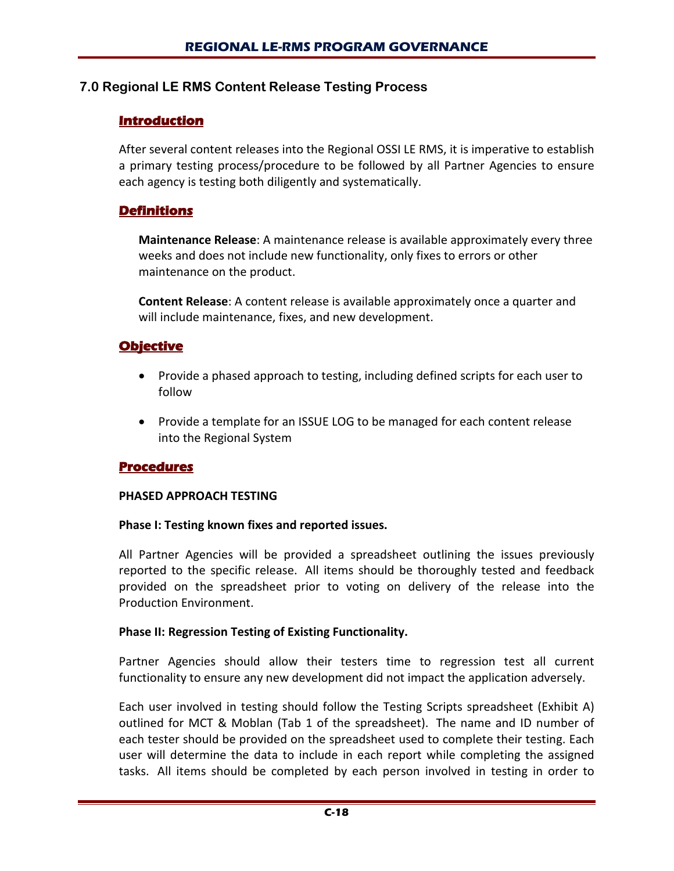## **7.0 Regional LE RMS Content Release Testing Process**

## **Introduction**

After several content releases into the Regional OSSI LE RMS, it is imperative to establish a primary testing process/procedure to be followed by all Partner Agencies to ensure each agency is testing both diligently and systematically.

## **Definitions**

**Maintenance Release**: A maintenance release is available approximately every three weeks and does not include new functionality, only fixes to errors or other maintenance on the product.

**Content Release**: A content release is available approximately once a quarter and will include maintenance, fixes, and new development.

## **Objective**

- Provide a phased approach to testing, including defined scripts for each user to follow
- Provide a template for an ISSUE LOG to be managed for each content release into the Regional System

## **Procedures**

#### **PHASED APPROACH TESTING**

#### **Phase I: Testing known fixes and reported issues.**

All Partner Agencies will be provided a spreadsheet outlining the issues previously reported to the specific release. All items should be thoroughly tested and feedback provided on the spreadsheet prior to voting on delivery of the release into the Production Environment.

#### **Phase II: Regression Testing of Existing Functionality.**

Partner Agencies should allow their testers time to regression test all current functionality to ensure any new development did not impact the application adversely.

Each user involved in testing should follow the Testing Scripts spreadsheet (Exhibit A) outlined for MCT & Moblan (Tab 1 of the spreadsheet). The name and ID number of each tester should be provided on the spreadsheet used to complete their testing. Each user will determine the data to include in each report while completing the assigned tasks. All items should be completed by each person involved in testing in order to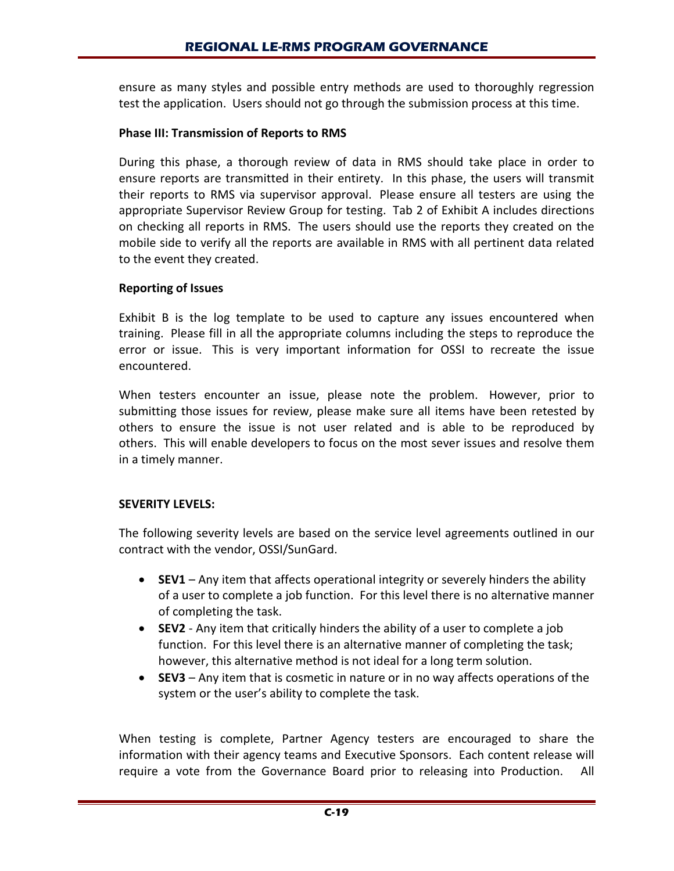ensure as many styles and possible entry methods are used to thoroughly regression test the application. Users should not go through the submission process at this time.

#### **Phase III: Transmission of Reports to RMS**

During this phase, a thorough review of data in RMS should take place in order to ensure reports are transmitted in their entirety. In this phase, the users will transmit their reports to RMS via supervisor approval. Please ensure all testers are using the appropriate Supervisor Review Group for testing. Tab 2 of Exhibit A includes directions on checking all reports in RMS. The users should use the reports they created on the mobile side to verify all the reports are available in RMS with all pertinent data related to the event they created.

#### **Reporting of Issues**

Exhibit B is the log template to be used to capture any issues encountered when training. Please fill in all the appropriate columns including the steps to reproduce the error or issue. This is very important information for OSSI to recreate the issue encountered.

When testers encounter an issue, please note the problem. However, prior to submitting those issues for review, please make sure all items have been retested by others to ensure the issue is not user related and is able to be reproduced by others. This will enable developers to focus on the most sever issues and resolve them in a timely manner.

## **SEVERITY LEVELS:**

The following severity levels are based on the service level agreements outlined in our contract with the vendor, OSSI/SunGard.

- **SEV1** Any item that affects operational integrity or severely hinders the ability of a user to complete a job function. For this level there is no alternative manner of completing the task.
- **SEV2** Any item that critically hinders the ability of a user to complete a job function. For this level there is an alternative manner of completing the task; however, this alternative method is not ideal for a long term solution.
- **SEV3** Any item that is cosmetic in nature or in no way affects operations of the system or the user's ability to complete the task.

When testing is complete, Partner Agency testers are encouraged to share the information with their agency teams and Executive Sponsors. Each content release will require a vote from the Governance Board prior to releasing into Production. All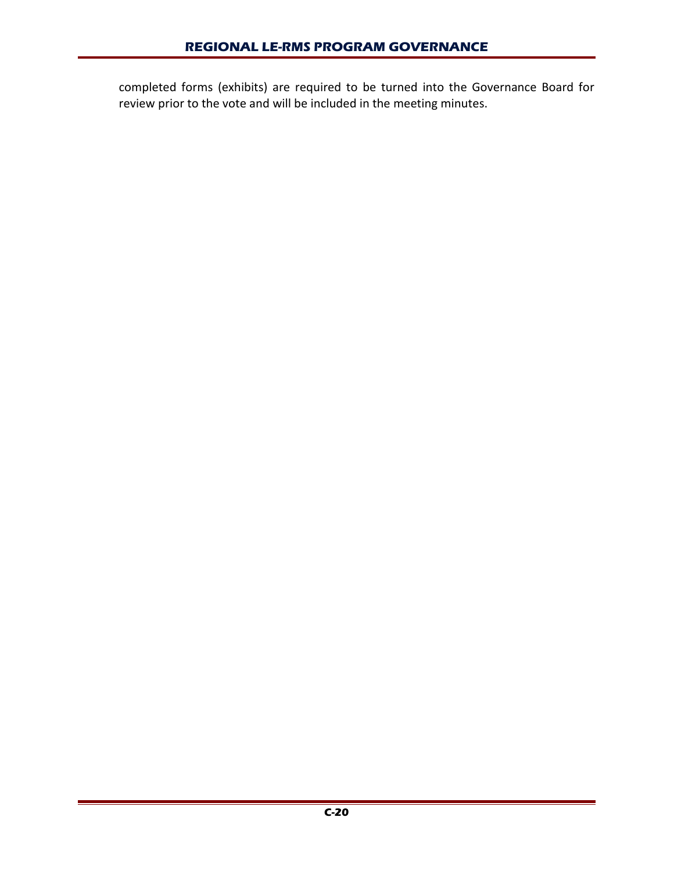completed forms (exhibits) are required to be turned into the Governance Board for review prior to the vote and will be included in the meeting minutes.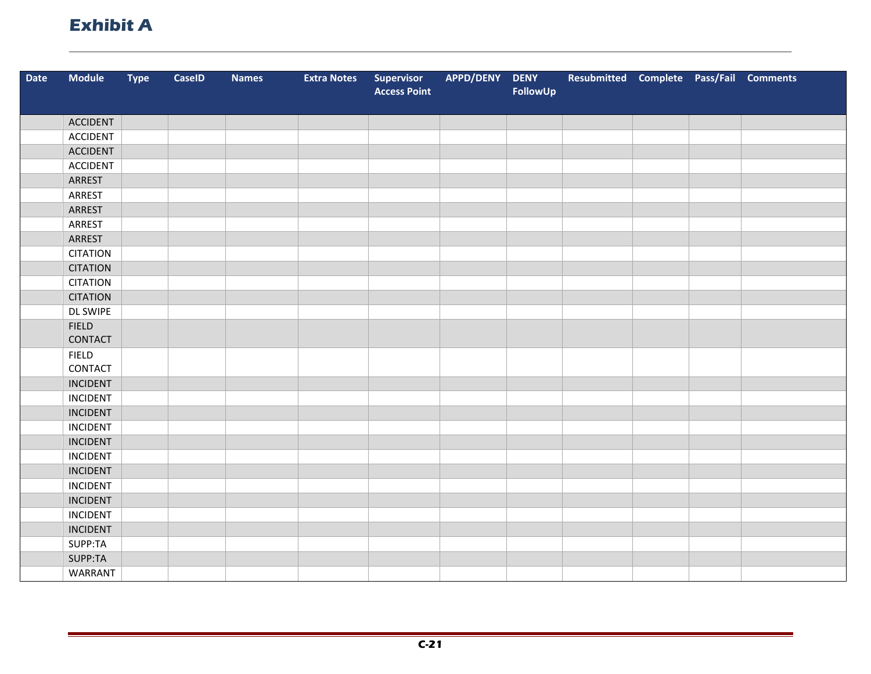# **Exhibit A**

| <b>Date</b> | <b>Module</b>           | <b>Type</b> | <b>CaseID</b> | <b>Names</b> | <b>Extra Notes</b> | Supervisor          | APPD/DENY | <b>DENY</b> | Resubmitted Complete Pass/Fail Comments |  |  |
|-------------|-------------------------|-------------|---------------|--------------|--------------------|---------------------|-----------|-------------|-----------------------------------------|--|--|
|             |                         |             |               |              |                    | <b>Access Point</b> |           | FollowUp    |                                         |  |  |
|             | <b>ACCIDENT</b>         |             |               |              |                    |                     |           |             |                                         |  |  |
|             | <b>ACCIDENT</b>         |             |               |              |                    |                     |           |             |                                         |  |  |
|             |                         |             |               |              |                    |                     |           |             |                                         |  |  |
|             | <b>ACCIDENT</b>         |             |               |              |                    |                     |           |             |                                         |  |  |
|             | <b>ACCIDENT</b>         |             |               |              |                    |                     |           |             |                                         |  |  |
|             | ARREST                  |             |               |              |                    |                     |           |             |                                         |  |  |
|             | ARREST                  |             |               |              |                    |                     |           |             |                                         |  |  |
|             | ARREST                  |             |               |              |                    |                     |           |             |                                         |  |  |
|             | ARREST                  |             |               |              |                    |                     |           |             |                                         |  |  |
|             | ARREST                  |             |               |              |                    |                     |           |             |                                         |  |  |
|             | <b>CITATION</b>         |             |               |              |                    |                     |           |             |                                         |  |  |
|             | <b>CITATION</b>         |             |               |              |                    |                     |           |             |                                         |  |  |
|             | <b>CITATION</b>         |             |               |              |                    |                     |           |             |                                         |  |  |
|             | <b>CITATION</b>         |             |               |              |                    |                     |           |             |                                         |  |  |
|             | <b>DL SWIPE</b>         |             |               |              |                    |                     |           |             |                                         |  |  |
|             | <b>FIELD</b>            |             |               |              |                    |                     |           |             |                                         |  |  |
|             | CONTACT                 |             |               |              |                    |                     |           |             |                                         |  |  |
|             | <b>FIELD</b><br>CONTACT |             |               |              |                    |                     |           |             |                                         |  |  |
|             | <b>INCIDENT</b>         |             |               |              |                    |                     |           |             |                                         |  |  |
|             | <b>INCIDENT</b>         |             |               |              |                    |                     |           |             |                                         |  |  |
|             | <b>INCIDENT</b>         |             |               |              |                    |                     |           |             |                                         |  |  |
|             | <b>INCIDENT</b>         |             |               |              |                    |                     |           |             |                                         |  |  |
|             | <b>INCIDENT</b>         |             |               |              |                    |                     |           |             |                                         |  |  |
|             | <b>INCIDENT</b>         |             |               |              |                    |                     |           |             |                                         |  |  |
|             | <b>INCIDENT</b>         |             |               |              |                    |                     |           |             |                                         |  |  |
|             | <b>INCIDENT</b>         |             |               |              |                    |                     |           |             |                                         |  |  |
|             | <b>INCIDENT</b>         |             |               |              |                    |                     |           |             |                                         |  |  |
|             | <b>INCIDENT</b>         |             |               |              |                    |                     |           |             |                                         |  |  |
|             | <b>INCIDENT</b>         |             |               |              |                    |                     |           |             |                                         |  |  |
|             | SUPP:TA                 |             |               |              |                    |                     |           |             |                                         |  |  |
|             | SUPP:TA                 |             |               |              |                    |                     |           |             |                                         |  |  |
|             | <b>WARRANT</b>          |             |               |              |                    |                     |           |             |                                         |  |  |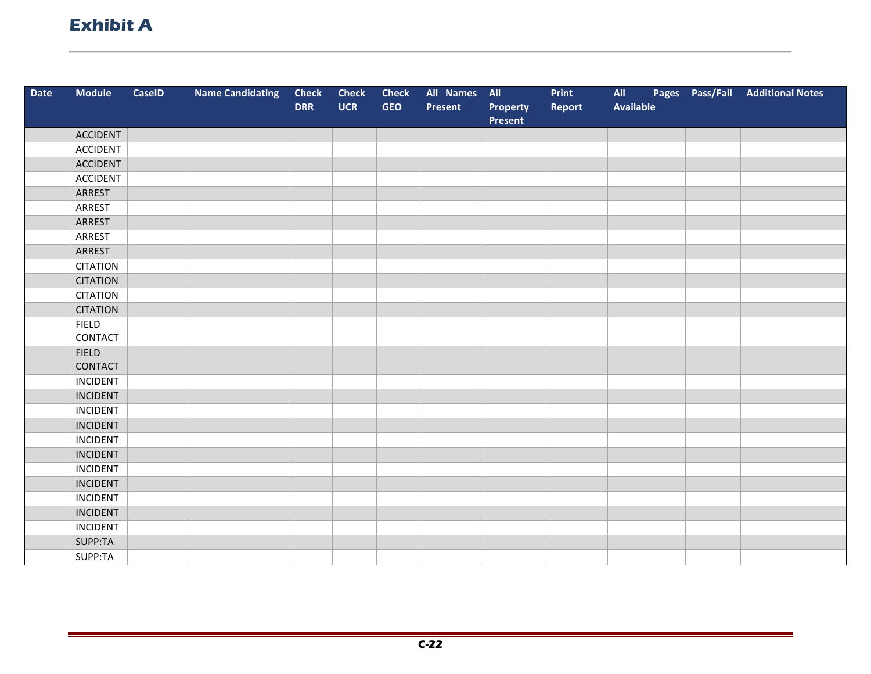# **Exhibit A**

| Date | <b>Module</b>   | <b>CaseID</b> | <b>Name Candidating</b> | <b>Check</b> | <b>Check</b> | <b>Check</b> | All Names All |                     | Print  | All              | Pages Pass/Fail | <b>Additional Notes</b> |
|------|-----------------|---------------|-------------------------|--------------|--------------|--------------|---------------|---------------------|--------|------------------|-----------------|-------------------------|
|      |                 |               |                         | <b>DRR</b>   | <b>UCR</b>   | <b>GEO</b>   | Present       | Property<br>Present | Report | <b>Available</b> |                 |                         |
|      | <b>ACCIDENT</b> |               |                         |              |              |              |               |                     |        |                  |                 |                         |
|      | <b>ACCIDENT</b> |               |                         |              |              |              |               |                     |        |                  |                 |                         |
|      | <b>ACCIDENT</b> |               |                         |              |              |              |               |                     |        |                  |                 |                         |
|      | <b>ACCIDENT</b> |               |                         |              |              |              |               |                     |        |                  |                 |                         |
|      | ARREST          |               |                         |              |              |              |               |                     |        |                  |                 |                         |
|      | ARREST          |               |                         |              |              |              |               |                     |        |                  |                 |                         |
|      | ARREST          |               |                         |              |              |              |               |                     |        |                  |                 |                         |
|      | ARREST          |               |                         |              |              |              |               |                     |        |                  |                 |                         |
|      | ARREST          |               |                         |              |              |              |               |                     |        |                  |                 |                         |
|      | <b>CITATION</b> |               |                         |              |              |              |               |                     |        |                  |                 |                         |
|      | <b>CITATION</b> |               |                         |              |              |              |               |                     |        |                  |                 |                         |
|      | <b>CITATION</b> |               |                         |              |              |              |               |                     |        |                  |                 |                         |
|      | <b>CITATION</b> |               |                         |              |              |              |               |                     |        |                  |                 |                         |
|      | <b>FIELD</b>    |               |                         |              |              |              |               |                     |        |                  |                 |                         |
|      | CONTACT         |               |                         |              |              |              |               |                     |        |                  |                 |                         |
|      | <b>FIELD</b>    |               |                         |              |              |              |               |                     |        |                  |                 |                         |
|      | CONTACT         |               |                         |              |              |              |               |                     |        |                  |                 |                         |
|      | <b>INCIDENT</b> |               |                         |              |              |              |               |                     |        |                  |                 |                         |
|      | <b>INCIDENT</b> |               |                         |              |              |              |               |                     |        |                  |                 |                         |
|      | <b>INCIDENT</b> |               |                         |              |              |              |               |                     |        |                  |                 |                         |
|      | <b>INCIDENT</b> |               |                         |              |              |              |               |                     |        |                  |                 |                         |
|      | <b>INCIDENT</b> |               |                         |              |              |              |               |                     |        |                  |                 |                         |
|      | <b>INCIDENT</b> |               |                         |              |              |              |               |                     |        |                  |                 |                         |
|      | <b>INCIDENT</b> |               |                         |              |              |              |               |                     |        |                  |                 |                         |
|      | <b>INCIDENT</b> |               |                         |              |              |              |               |                     |        |                  |                 |                         |
|      | <b>INCIDENT</b> |               |                         |              |              |              |               |                     |        |                  |                 |                         |
|      | <b>INCIDENT</b> |               |                         |              |              |              |               |                     |        |                  |                 |                         |
|      | <b>INCIDENT</b> |               |                         |              |              |              |               |                     |        |                  |                 |                         |
|      | SUPP:TA         |               |                         |              |              |              |               |                     |        |                  |                 |                         |
|      | SUPP:TA         |               |                         |              |              |              |               |                     |        |                  |                 |                         |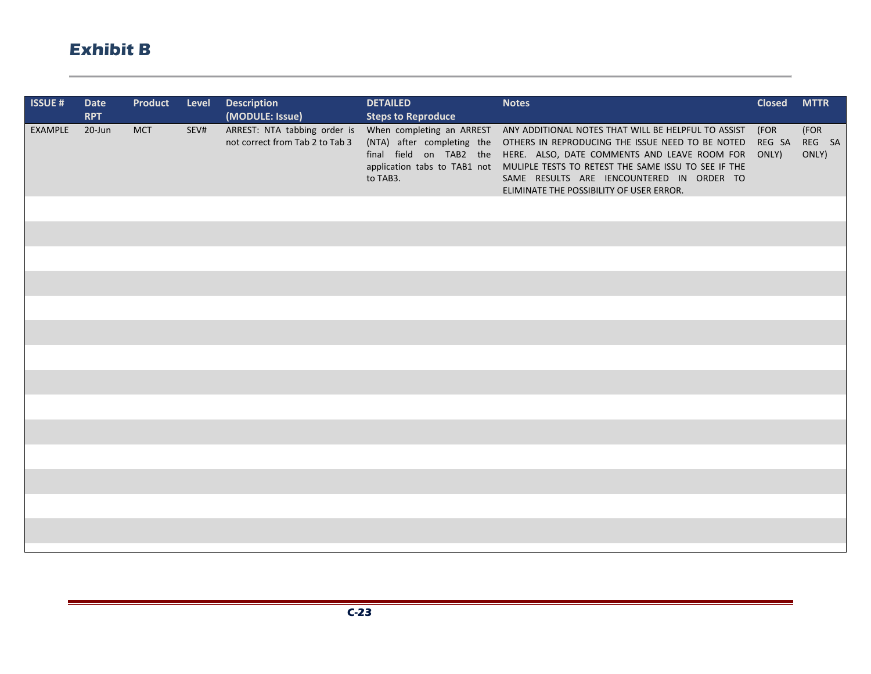| <b>ISSUE#</b> | <b>Date</b><br><b>RPT</b> | Product    | Level | <b>Description</b><br>(MODULE: Issue)                           | <b>DETAILED</b><br><b>Steps to Reproduce</b> | <b>Notes</b>                                                                                                                                                                                                                                                                                                                                                                                                      | <b>Closed</b>           | <b>MTTR</b>             |
|---------------|---------------------------|------------|-------|-----------------------------------------------------------------|----------------------------------------------|-------------------------------------------------------------------------------------------------------------------------------------------------------------------------------------------------------------------------------------------------------------------------------------------------------------------------------------------------------------------------------------------------------------------|-------------------------|-------------------------|
| EXAMPLE       | $20$ -Jun                 | <b>MCT</b> | SEV#  | ARREST: NTA tabbing order is<br>not correct from Tab 2 to Tab 3 | to TAB3.                                     | When completing an ARREST ANY ADDITIONAL NOTES THAT WILL BE HELPFUL TO ASSIST<br>(NTA) after completing the OTHERS IN REPRODUCING THE ISSUE NEED TO BE NOTED<br>final field on TAB2 the HERE. ALSO, DATE COMMENTS AND LEAVE ROOM FOR<br>application tabs to TAB1 not MULIPLE TESTS TO RETEST THE SAME ISSU TO SEE IF THE<br>SAME RESULTS ARE IENCOUNTERED IN ORDER TO<br>ELIMINATE THE POSSIBILITY OF USER ERROR. | (FOR<br>REG SA<br>ONLY) | (FOR<br>REG SA<br>ONLY) |
|               |                           |            |       |                                                                 |                                              |                                                                                                                                                                                                                                                                                                                                                                                                                   |                         |                         |
|               |                           |            |       |                                                                 |                                              |                                                                                                                                                                                                                                                                                                                                                                                                                   |                         |                         |
|               |                           |            |       |                                                                 |                                              |                                                                                                                                                                                                                                                                                                                                                                                                                   |                         |                         |
|               |                           |            |       |                                                                 |                                              |                                                                                                                                                                                                                                                                                                                                                                                                                   |                         |                         |
|               |                           |            |       |                                                                 |                                              |                                                                                                                                                                                                                                                                                                                                                                                                                   |                         |                         |
|               |                           |            |       |                                                                 |                                              |                                                                                                                                                                                                                                                                                                                                                                                                                   |                         |                         |
|               |                           |            |       |                                                                 |                                              |                                                                                                                                                                                                                                                                                                                                                                                                                   |                         |                         |
|               |                           |            |       |                                                                 |                                              |                                                                                                                                                                                                                                                                                                                                                                                                                   |                         |                         |
|               |                           |            |       |                                                                 |                                              |                                                                                                                                                                                                                                                                                                                                                                                                                   |                         |                         |
|               |                           |            |       |                                                                 |                                              |                                                                                                                                                                                                                                                                                                                                                                                                                   |                         |                         |
|               |                           |            |       |                                                                 |                                              |                                                                                                                                                                                                                                                                                                                                                                                                                   |                         |                         |
|               |                           |            |       |                                                                 |                                              |                                                                                                                                                                                                                                                                                                                                                                                                                   |                         |                         |
|               |                           |            |       |                                                                 |                                              |                                                                                                                                                                                                                                                                                                                                                                                                                   |                         |                         |

an an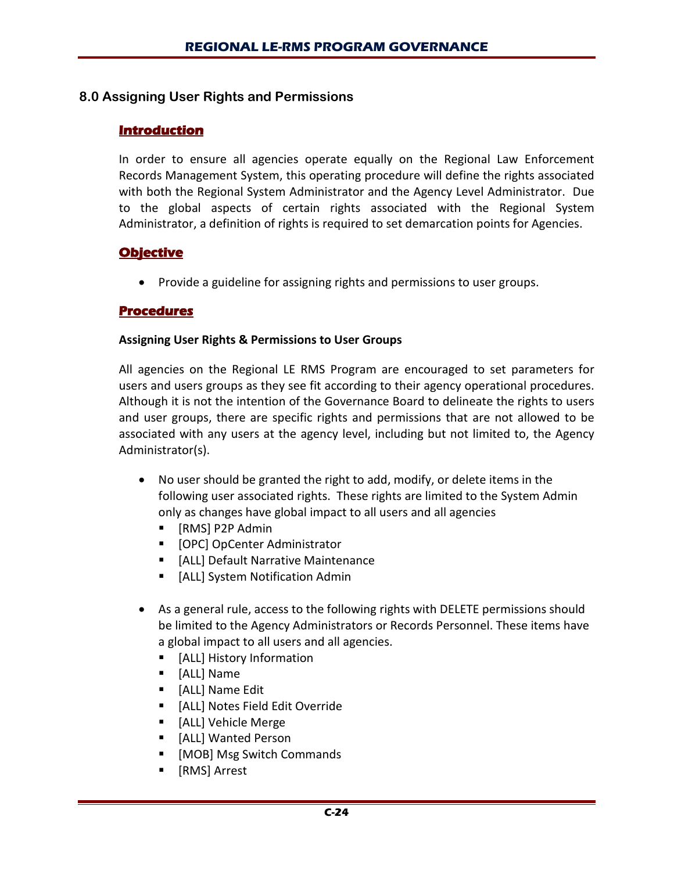## **8.0 Assigning User Rights and Permissions**

## **Introduction**

In order to ensure all agencies operate equally on the Regional Law Enforcement Records Management System, this operating procedure will define the rights associated with both the Regional System Administrator and the Agency Level Administrator. Due to the global aspects of certain rights associated with the Regional System Administrator, a definition of rights is required to set demarcation points for Agencies.

## **Objective**

• Provide a guideline for assigning rights and permissions to user groups.

## **Procedures**

#### **Assigning User Rights & Permissions to User Groups**

All agencies on the Regional LE RMS Program are encouraged to set parameters for users and users groups as they see fit according to their agency operational procedures. Although it is not the intention of the Governance Board to delineate the rights to users and user groups, there are specific rights and permissions that are not allowed to be associated with any users at the agency level, including but not limited to, the Agency Administrator(s).

- No user should be granted the right to add, modify, or delete items in the following user associated rights. These rights are limited to the System Admin only as changes have global impact to all users and all agencies
	- [RMS] P2P Admin
	- **•** [OPC] OpCenter Administrator
	- **EXTE:** [ALL] Default Narrative Maintenance
	- **EXTED 15 In System Notification Admin**
- As a general rule, access to the following rights with DELETE permissions should be limited to the Agency Administrators or Records Personnel. These items have a global impact to all users and all agencies.
	- **E** [ALL] History Information
	- [ALL] Name
	- **E** [ALL] Name Edit
	- **Fig. 4** [ALL] Notes Field Edit Override
	- **E** [ALL] Vehicle Merge
	- **F** [ALL] Wanted Person
	- [MOB] Msg Switch Commands
	- [RMS] Arrest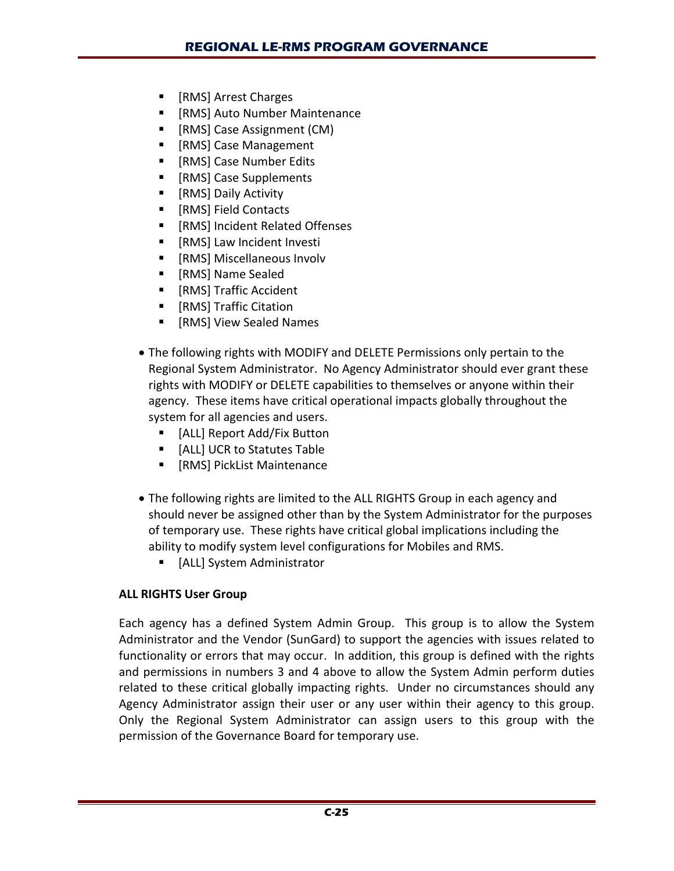- [RMS] Arrest Charges
- [RMS] Auto Number Maintenance
- [RMS] Case Assignment (CM)
- [RMS] Case Management
- [RMS] Case Number Edits
- [RMS] Case Supplements
- **F** [RMS] Daily Activity
- [RMS] Field Contacts
- **Fig. 15 Incident Related Offenses**
- [RMS] Law Incident Investi
- **F** [RMS] Miscellaneous Involv
- **F** [RMS] Name Sealed
- **F** [RMS] Traffic Accident
- [RMS] Traffic Citation
- [RMS] View Sealed Names
- The following rights with MODIFY and DELETE Permissions only pertain to the Regional System Administrator. No Agency Administrator should ever grant these rights with MODIFY or DELETE capabilities to themselves or anyone within their agency. These items have critical operational impacts globally throughout the system for all agencies and users.
	- **F** [ALL] Report Add/Fix Button
	- **E** [ALL] UCR to Statutes Table
	- **F** [RMS] PickList Maintenance
- The following rights are limited to the ALL RIGHTS Group in each agency and should never be assigned other than by the System Administrator for the purposes of temporary use. These rights have critical global implications including the ability to modify system level configurations for Mobiles and RMS.
	- **E** [ALL] System Administrator

# **ALL RIGHTS User Group**

Each agency has a defined System Admin Group. This group is to allow the System Administrator and the Vendor (SunGard) to support the agencies with issues related to functionality or errors that may occur. In addition, this group is defined with the rights and permissions in numbers 3 and 4 above to allow the System Admin perform duties related to these critical globally impacting rights. Under no circumstances should any Agency Administrator assign their user or any user within their agency to this group. Only the Regional System Administrator can assign users to this group with the permission of the Governance Board for temporary use.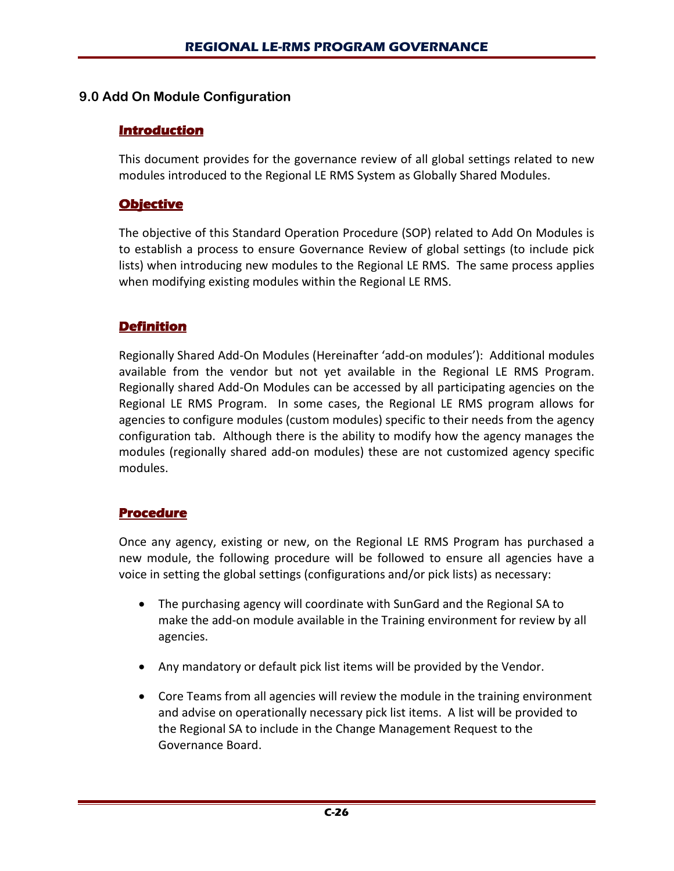## **9.0 Add On Module Configuration**

## **Introduction**

This document provides for the governance review of all global settings related to new modules introduced to the Regional LE RMS System as Globally Shared Modules.

## **Objective**

The objective of this Standard Operation Procedure (SOP) related to Add On Modules is to establish a process to ensure Governance Review of global settings (to include pick lists) when introducing new modules to the Regional LE RMS. The same process applies when modifying existing modules within the Regional LE RMS.

## **Definition**

Regionally Shared Add-On Modules (Hereinafter 'add-on modules'): Additional modules available from the vendor but not yet available in the Regional LE RMS Program. Regionally shared Add-On Modules can be accessed by all participating agencies on the Regional LE RMS Program. In some cases, the Regional LE RMS program allows for agencies to configure modules (custom modules) specific to their needs from the agency configuration tab. Although there is the ability to modify how the agency manages the modules (regionally shared add-on modules) these are not customized agency specific modules.

## **Procedure**

Once any agency, existing or new, on the Regional LE RMS Program has purchased a new module, the following procedure will be followed to ensure all agencies have a voice in setting the global settings (configurations and/or pick lists) as necessary:

- The purchasing agency will coordinate with SunGard and the Regional SA to make the add-on module available in the Training environment for review by all agencies.
- Any mandatory or default pick list items will be provided by the Vendor.
- Core Teams from all agencies will review the module in the training environment and advise on operationally necessary pick list items. A list will be provided to the Regional SA to include in the Change Management Request to the Governance Board.